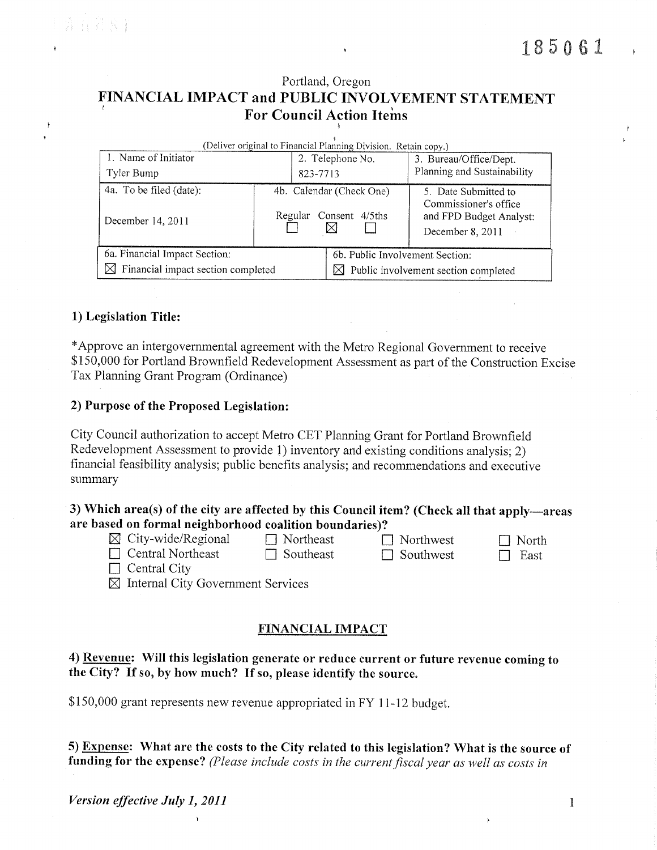$\ddagger$ 

# Portland, Oregon FINANCIAL IMPACT and PUBLIC INVOLVEMENT STATEMENT **For Council Action Items**

| (Deliver original to Financial Planning Division. Retain copy.)  |          |                                             |                                                                      |  |  |  |
|------------------------------------------------------------------|----------|---------------------------------------------|----------------------------------------------------------------------|--|--|--|
| 1. Name of Initiator                                             |          | 2. Telephone No.                            | 3. Bureau/Office/Dept.                                               |  |  |  |
| Tyler Bump                                                       | 823-7713 |                                             | Planning and Sustainability                                          |  |  |  |
| 4a. To be filed (date):                                          |          | 4b. Calendar (Check One)                    | 5. Date Submitted to                                                 |  |  |  |
| December 14, 2011                                                | Regular  | Consent 4/5ths<br>⊠                         | Commissioner's office<br>and FPD Budget Analyst:<br>December 8, 2011 |  |  |  |
| 6a. Financial Impact Section:<br>6b. Public Involvement Section: |          |                                             |                                                                      |  |  |  |
| $\boxtimes$ Financial impact section completed                   |          | Public involvement section completed<br>IХI |                                                                      |  |  |  |

# 1) Legislation Title:

\*Approve an intergovernmental agreement with the Metro Regional Government to receive \$150,000 for Portland Brownfield Redevelopment Assessment as part of the Construction Excise Tax Planning Grant Program (Ordinance)

#### 2) Purpose of the Proposed Legislation:

City Council authorization to accept Metro CET Planning Grant for Portland Brownfield Redevelopment Assessment to provide 1) inventory and existing conditions analysis; 2) financial feasibility analysis; public benefits analysis; and recommendations and executive summary

# 3) Which area(s) of the city are affected by this Council item? (Check all that apply—areas are based on formal neighborhood coalition boundaries)?

- $\boxtimes$  City-wide/Regional
- $\Box$  Central Northeast

 $\Box$  Northeast  $\Box$  Southeast

 $\Box$  Northwest  $\Box$  Southwest

 $\Box$  North  $\Box$  East

 $\Box$  Central City

 $\boxtimes$  Internal City Government Services

#### **FINANCIAL IMPACT**

## 4) Revenue: Will this legislation generate or reduce current or future revenue coming to the City? If so, by how much? If so, please identify the source.

\$150,000 grant represents new revenue appropriated in FY 11-12 budget.

5) Expense: What are the costs to the City related to this legislation? What is the source of funding for the expense? (Please include costs in the current fiscal year as well as costs in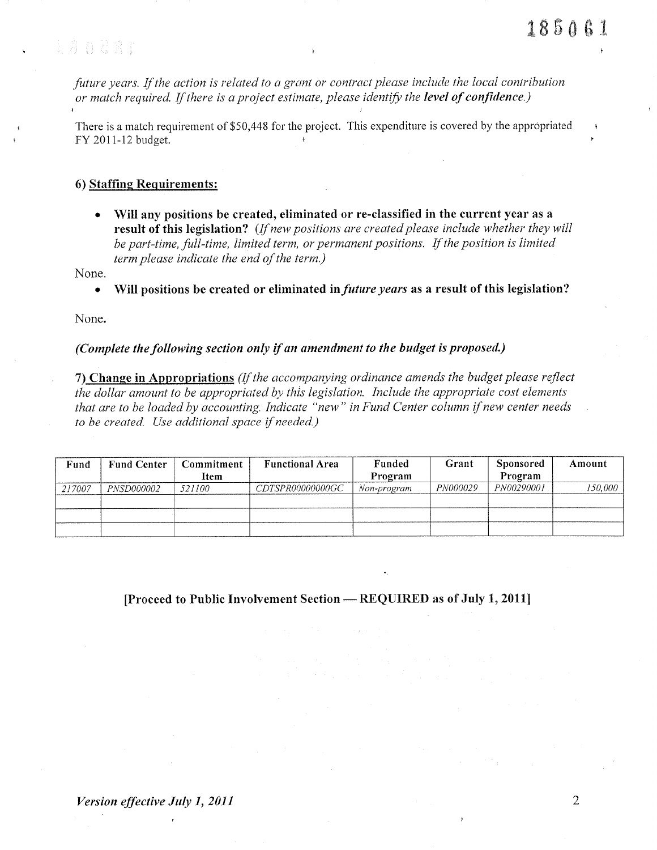Eands:

future years. If the action is related to a grant or contract please include the local contribution or match required. If there is a project estimate, please identify the level of confidence.)

There is a match requirement of \$50,448 for the project. This expenditure is covered by the appropriated FY 2011-12 budget.

#### 6) Staffing Requirements:

Will any positions be created, eliminated or re-classified in the current year as a  $\bullet$ result of this legislation? (If new positions are created please include whether they will be part-time, full-time, limited term, or permanent positions. If the position is limited term please indicate the end of the term.)

None.

Will positions be created or eliminated in *future years* as a result of this legislation?  $\bullet$ 

None.

#### (Complete the following section only if an amendment to the budget is proposed.)

7) Change in Appropriations (If the accompanying ordinance amends the budget please reflect the dollar amount to be appropriated by this legislation. Include the appropriate cost elements that are to be loaded by accounting. Indicate "new" in Fund Center column if new center needs to be created. Use additional space if needed.)

| Fund   | <b>Fund Center</b> | Commitment<br>Item | <b>Functional Area</b> | Funded<br>Program | Grant           | Sponsored<br>Program | Amount  |
|--------|--------------------|--------------------|------------------------|-------------------|-----------------|----------------------|---------|
| 217007 | <i>PNSD000002</i>  | 521100             | CDTSPR00000000GC       | Non-program       | <i>PN000029</i> | PN00290001           | 150,000 |
|        |                    |                    |                        |                   |                 |                      |         |

[Proceed to Public Involvement Section — REQUIRED as of July 1, 2011]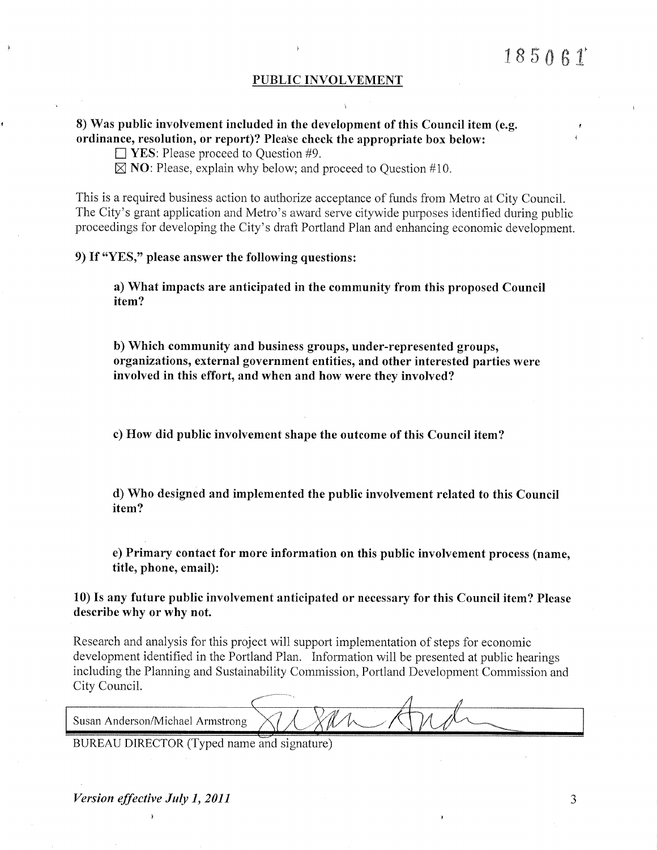I

#### PUBLIC INVOLVEMENT

# 8) Was public involvement included in the development of this Council item (e.g. ordinance, resolution, or report)? Please check the appropriate box below:

 $\Box$  YES: Please proceed to Question #9.

 $\boxtimes$  **NO**: Please, explain why below; and proceed to Question #10.

This is a required business action to authorize acceptance of funds from Metro at City Council. The City's grant application and Metro's award serve citywide purposes identified during public proceedings for developing the City's draft Portland Plan and enhancing economic development.

## 9) If "YES," please answer the following questions:

a) What impacts are anticipated in the community from this proposed Council item?

b) Which community and business groups, under-represented groups, organizations, external government entities, and other interested parties were involved in this effort, and when and how were they involved?

c) How did public involvement shape the outcome of this Council item?

d) Who designed and implemented the public involvement related to this Council item?

e) Primary contact for more information on this public involvement process (name, title, phone, email):

10) Is any future public involvement anticipated or necessary for this Council item? Please describe why or why not.

Research and analysis for this project will support implementation of steps for economic development identified in the Portland Plan. Information will be presented at public hearings including the Planning and Sustainability Commission, Portland Development Commission and City Council.

Susan Anderson/Michael Armstrong

BUREAU DIRECTOR (Typed name and signature)

Version effective July 1, 2011 t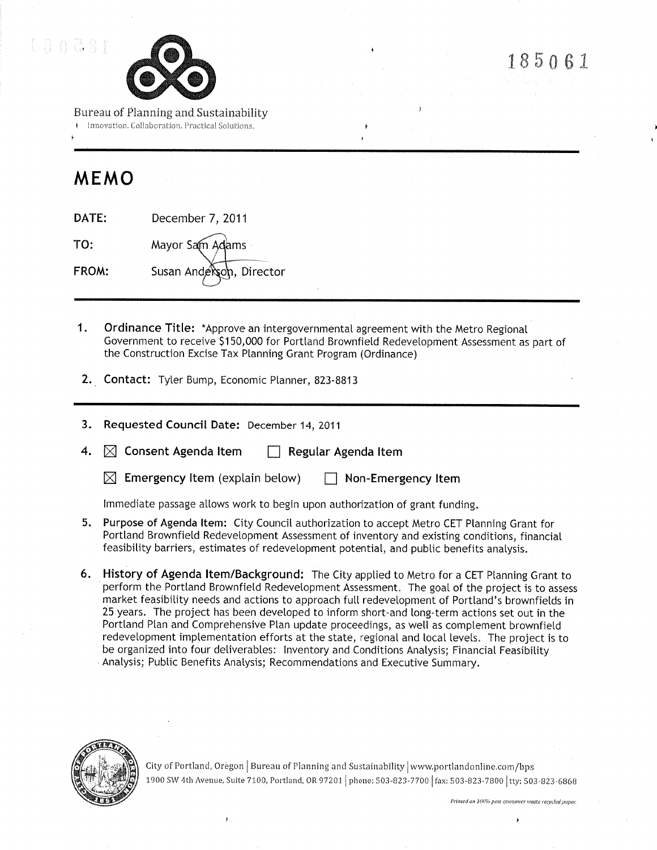



185061

Bureau of Planning and Sustainability

Innovation, Collaboration, Practical Solutions,

# MEMO

| DATE: | December 7, 2011         |
|-------|--------------------------|
| TO:   | Mayor Sam Adams          |
| FROM: | Susan Anderson, Director |

- $\mathbf{1}$ . **Ordinance Title:** \*Approve an intergovernmental agreement with the Metro Regional Government to receive \$150,000 for Portland Brownfield Redevelopment Assessment as part of the Construction Excise Tax Planning Grant Program (Ordinance)
- 2. Contact: Tyler Bump, Economic Planner, 823-8813
- 3. Requested Council Date: December 14, 2011
- $\boxtimes$  Consent Agenda Item 4.  $\Box$  Regular Agenda Item

 $\boxtimes$  Emergency Item (explain below)  $\Box$  Non-Emergency Item

Immediate passage allows work to begin upon authorization of grant funding.

- 5. Purpose of Agenda Item: City Council authorization to accept Metro CET Planning Grant for Portland Brownfield Redevelopment Assessment of inventory and existing conditions, financial feasibility barriers, estimates of redevelopment potential, and public benefits analysis.
- 6. History of Agenda Item/Background: The City applied to Metro for a CET Planning Grant to perform the Portland Brownfield Redevelopment Assessment. The goal of the project is to assess market feasibility needs and actions to approach full redevelopment of Portland's brownfields in 25 years. The project has been developed to inform short-and long-term actions set out in the Portland Plan and Comprehensive Plan update proceedings, as well as complement brownfield redevelopment implementation efforts at the state, regional and local levels. The project is to be organized into four deliverables: Inventory and Conditions Analysis; Financial Feasibility Analysis; Public Benefits Analysis; Recommendations and Executive Summary.



City of Portland, Oregon | Bureau of Planning and Sustainability | www.portlandonline.com/bps 1900 SW 4th Avenue, Suite 7100, Portland, OR 97201 | phone: 503-823-7700 | fax: 503-823-7800 | tty: 503-823-6868